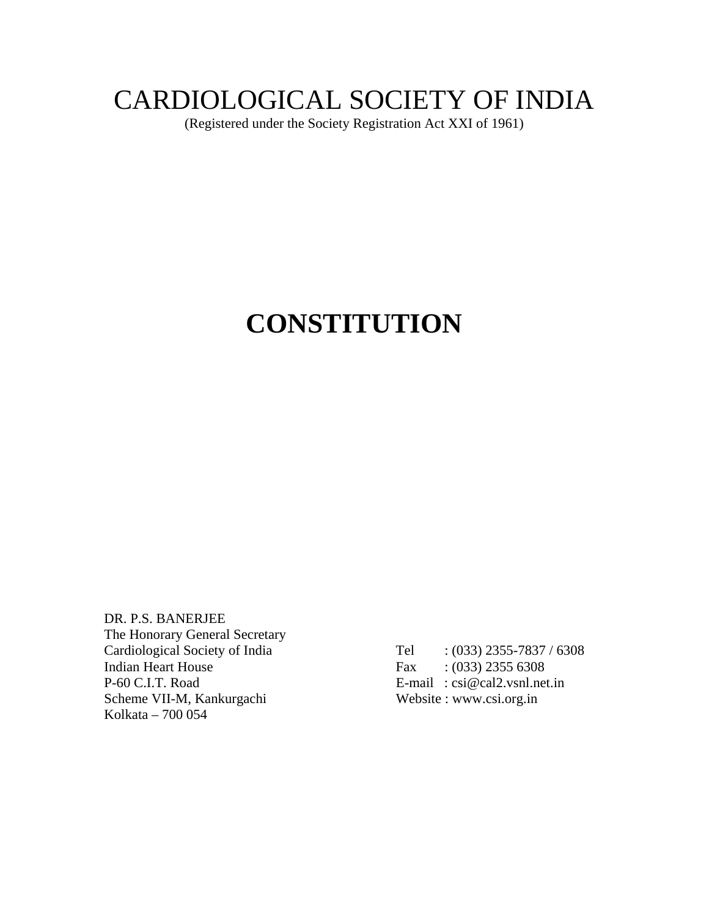# CARDIOLOGICAL SOCIETY OF INDIA

(Registered under the Society Registration Act XXI of 1961)

# **CONSTITUTION**

DR. P.S. BANERJEE The Honorary General Secretary Cardiological Society of India Tel : (033) 2355-7837 / 6308 Indian Heart House Fax : (033) 2355 6308 P-60 C.I.T. Road<br>
Scheme VII-M, Kankurgachi<br>
Website : www.csi.org.in Scheme VII-M, Kankurgachi Kolkata – 700 054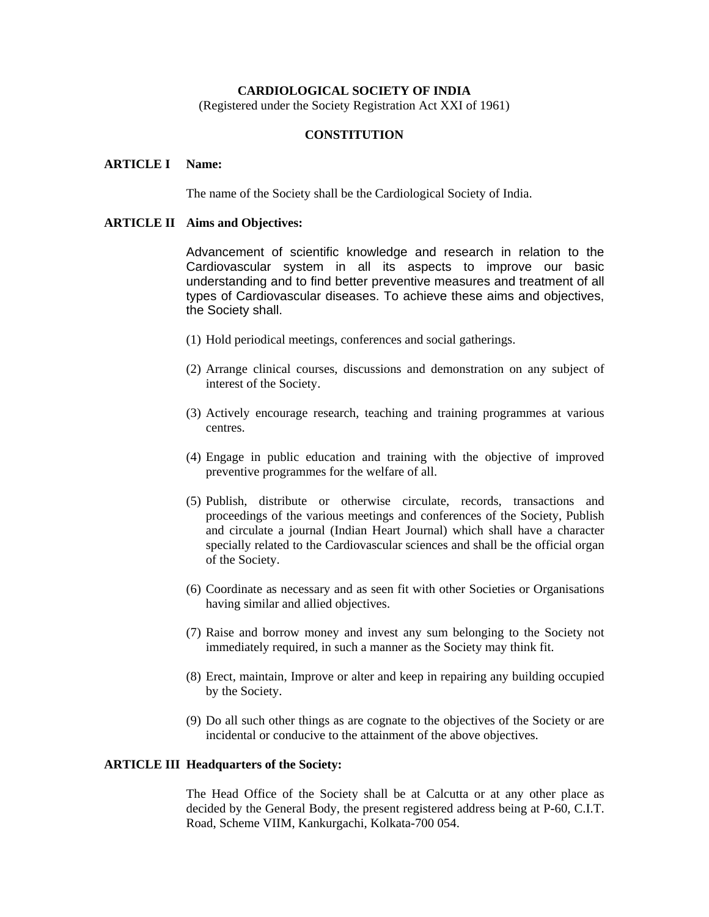## **CARDIOLOGICAL SOCIETY OF INDIA**

(Registered under the Society Registration Act XXI of 1961)

## **CONSTITUTION**

#### **ARTICLE I Name:**

The name of the Society shall be the Cardiological Society of India.

## **ARTICLE II Aims and Objectives:**

 Advancement of scientific knowledge and research in relation to the Cardiovascular system in all its aspects to improve our basic understanding and to find better preventive measures and treatment of all types of Cardiovascular diseases. To achieve these aims and objectives, the Society shall.

- (1) Hold periodical meetings, conferences and social gatherings.
- (2) Arrange clinical courses, discussions and demonstration on any subject of interest of the Society.
- (3) Actively encourage research, teaching and training programmes at various centres.
- (4) Engage in public education and training with the objective of improved preventive programmes for the welfare of all.
- (5) Publish, distribute or otherwise circulate, records, transactions and proceedings of the various meetings and conferences of the Society, Publish and circulate a journal (Indian Heart Journal) which shall have a character specially related to the Cardiovascular sciences and shall be the official organ of the Society.
- (6) Coordinate as necessary and as seen fit with other Societies or Organisations having similar and allied objectives.
- (7) Raise and borrow money and invest any sum belonging to the Society not immediately required, in such a manner as the Society may think fit.
- (8) Erect, maintain, Improve or alter and keep in repairing any building occupied by the Society.
- (9) Do all such other things as are cognate to the objectives of the Society or are incidental or conducive to the attainment of the above objectives.

#### **ARTICLE III Headquarters of the Society:**

 The Head Office of the Society shall be at Calcutta or at any other place as decided by the General Body, the present registered address being at P-60, C.I.T. Road, Scheme VIIM, Kankurgachi, Kolkata-700 054.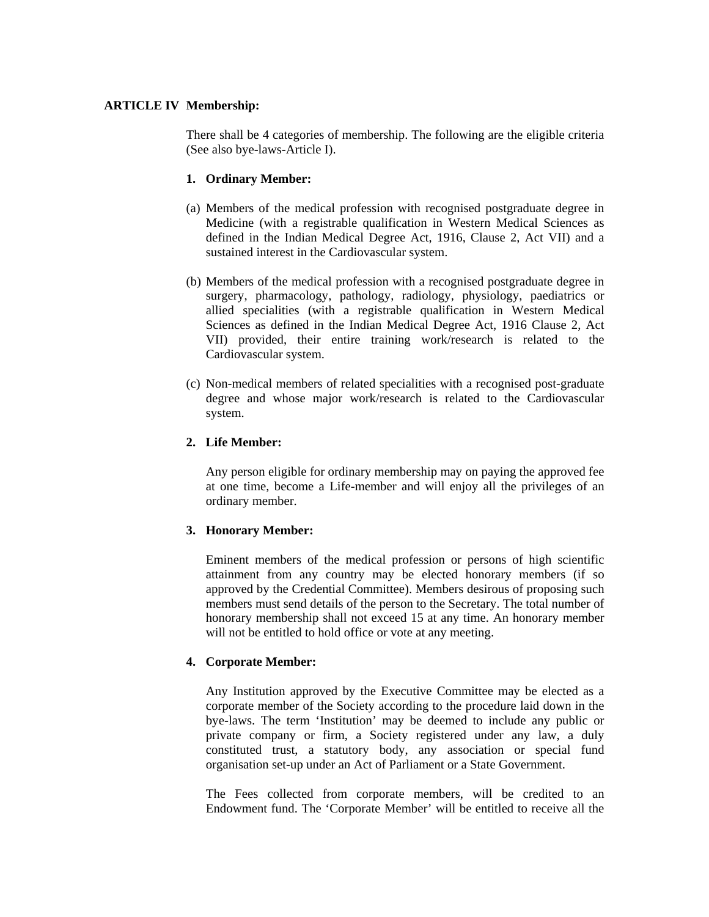## **ARTICLE IV Membership:**

 There shall be 4 categories of membership. The following are the eligible criteria (See also bye-laws-Article I).

## **1. Ordinary Member:**

- (a) Members of the medical profession with recognised postgraduate degree in Medicine (with a registrable qualification in Western Medical Sciences as defined in the Indian Medical Degree Act, 1916, Clause 2, Act VII) and a sustained interest in the Cardiovascular system.
- (b) Members of the medical profession with a recognised postgraduate degree in surgery, pharmacology, pathology, radiology, physiology, paediatrics or allied specialities (with a registrable qualification in Western Medical Sciences as defined in the Indian Medical Degree Act, 1916 Clause 2, Act VII) provided, their entire training work/research is related to the Cardiovascular system.
- (c) Non-medical members of related specialities with a recognised post-graduate degree and whose major work/research is related to the Cardiovascular system.

## **2. Life Member:**

 Any person eligible for ordinary membership may on paying the approved fee at one time, become a Life-member and will enjoy all the privileges of an ordinary member.

## **3. Honorary Member:**

 Eminent members of the medical profession or persons of high scientific attainment from any country may be elected honorary members (if so approved by the Credential Committee). Members desirous of proposing such members must send details of the person to the Secretary. The total number of honorary membership shall not exceed 15 at any time. An honorary member will not be entitled to hold office or vote at any meeting.

## **4. Corporate Member:**

 Any Institution approved by the Executive Committee may be elected as a corporate member of the Society according to the procedure laid down in the bye-laws. The term 'Institution' may be deemed to include any public or private company or firm, a Society registered under any law, a duly constituted trust, a statutory body, any association or special fund organisation set-up under an Act of Parliament or a State Government.

 The Fees collected from corporate members, will be credited to an Endowment fund. The 'Corporate Member' will be entitled to receive all the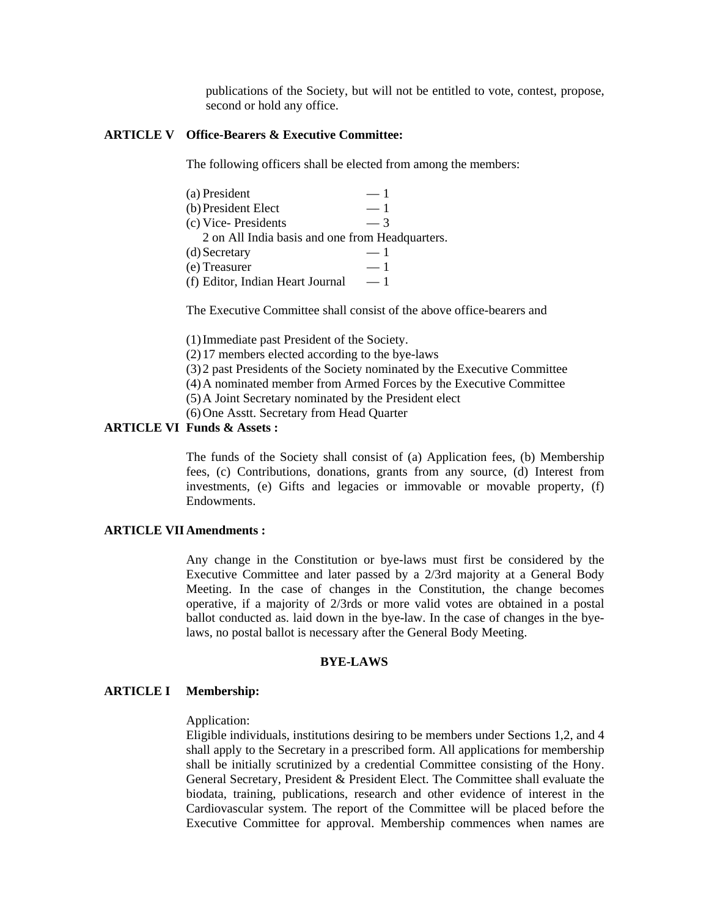publications of the Society, but will not be entitled to vote, contest, propose, second or hold any office.

#### **ARTICLE V Office-Bearers & Executive Committee:**

The following officers shall be elected from among the members:

| (a) President                                   | $=1$ |
|-------------------------------------------------|------|
| (b) President Elect                             | $-1$ |
| (c) Vice-Presidents                             | $-3$ |
| 2 on All India basis and one from Headquarters. |      |
| (d) Secretary                                   | $=1$ |
| (e) Treasurer                                   | $-1$ |
| (f) Editor, Indian Heart Journal                | — 1  |

The Executive Committee shall consist of the above office-bearers and

(1) Immediate past President of the Society.

(2) 17 members elected according to the bye-laws

(3) 2 past Presidents of the Society nominated by the Executive Committee

(4) A nominated member from Armed Forces by the Executive Committee

(5) A Joint Secretary nominated by the President elect

(6) One Asstt. Secretary from Head Quarter

## **ARTICLE VI Funds & Assets :**

 The funds of the Society shall consist of (a) Application fees, (b) Membership fees, (c) Contributions, donations, grants from any source, (d) Interest from investments, (e) Gifts and legacies or immovable or movable property, (f) Endowments.

## **ARTICLE VII Amendments :**

 Any change in the Constitution or bye-laws must first be considered by the Executive Committee and later passed by a 2/3rd majority at a General Body Meeting. In the case of changes in the Constitution, the change becomes operative, if a majority of 2/3rds or more valid votes are obtained in a postal ballot conducted as. laid down in the bye-law. In the case of changes in the byelaws, no postal ballot is necessary after the General Body Meeting.

## **BYE-LAWS**

## **ARTICLE I Membership:**

## Application:

 Eligible individuals, institutions desiring to be members under Sections 1,2, and 4 shall apply to the Secretary in a prescribed form. All applications for membership shall be initially scrutinized by a credential Committee consisting of the Hony. General Secretary, President & President Elect. The Committee shall evaluate the biodata, training, publications, research and other evidence of interest in the Cardiovascular system. The report of the Committee will be placed before the Executive Committee for approval. Membership commences when names are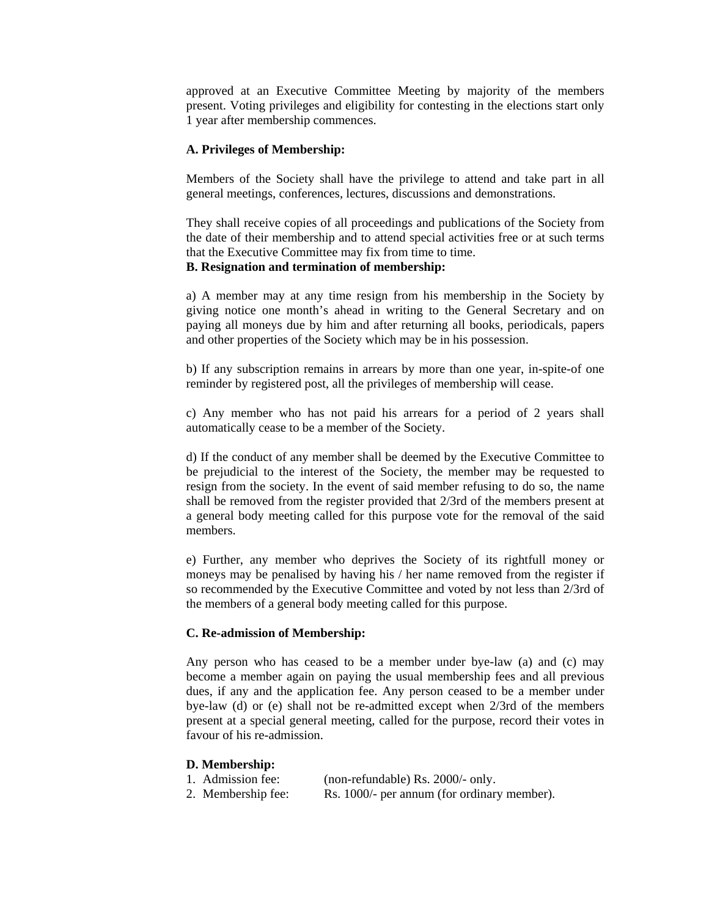approved at an Executive Committee Meeting by majority of the members present. Voting privileges and eligibility for contesting in the elections start only 1 year after membership commences.

#### **A. Privileges of Membership:**

 Members of the Society shall have the privilege to attend and take part in all general meetings, conferences, lectures, discussions and demonstrations.

 They shall receive copies of all proceedings and publications of the Society from the date of their membership and to attend special activities free or at such terms that the Executive Committee may fix from time to time.

## **B. Resignation and termination of membership:**

 a) A member may at any time resign from his membership in the Society by giving notice one month's ahead in writing to the General Secretary and on paying all moneys due by him and after returning all books, periodicals, papers and other properties of the Society which may be in his possession.

 b) If any subscription remains in arrears by more than one year, in-spite-of one reminder by registered post, all the privileges of membership will cease.

 c) Any member who has not paid his arrears for a period of 2 years shall automatically cease to be a member of the Society.

 d) If the conduct of any member shall be deemed by the Executive Committee to be prejudicial to the interest of the Society, the member may be requested to resign from the society. In the event of said member refusing to do so, the name shall be removed from the register provided that 2/3rd of the members present at a general body meeting called for this purpose vote for the removal of the said members.

 e) Further, any member who deprives the Society of its rightfull money or moneys may be penalised by having his / her name removed from the register if so recommended by the Executive Committee and voted by not less than 2/3rd of the members of a general body meeting called for this purpose.

#### **C. Re-admission of Membership:**

 Any person who has ceased to be a member under bye-law (a) and (c) may become a member again on paying the usual membership fees and all previous dues, if any and the application fee. Any person ceased to be a member under bye-law (d) or (e) shall not be re-admitted except when 2/3rd of the members present at a special general meeting, called for the purpose, record their votes in favour of his re-admission.

#### **D. Membership:**

1. Admission fee: (non-refundable) Rs. 2000/- only.

2. Membership fee: Rs. 1000/- per annum (for ordinary member).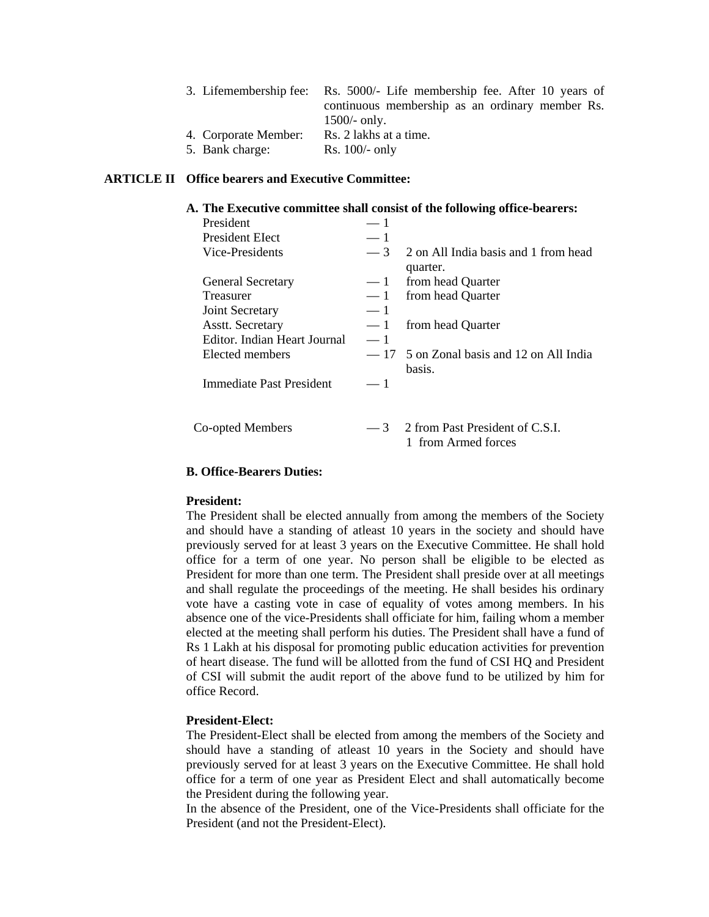|                      | 3. Lifemembership fee: Rs. 5000/- Life membership fee. After 10 years of |
|----------------------|--------------------------------------------------------------------------|
|                      | continuous membership as an ordinary member Rs.                          |
|                      | $1500/-$ only.                                                           |
| 4. Corporate Member: | Rs. 2 lakhs at a time.                                                   |
| 5. Bank charge:      | Rs. $100/-$ only                                                         |

## **ARTICLE II Office bearers and Executive Committee:**

#### **A. The Executive committee shall consist of the following office-bearers:**

| President                    |      |                                                        |
|------------------------------|------|--------------------------------------------------------|
| <b>President Elect</b>       | $-1$ |                                                        |
| Vice-Presidents              | $-3$ | 2 on All India basis and 1 from head<br>quarter.       |
| <b>General Secretary</b>     | $-1$ | from head Quarter                                      |
| <b>Treasurer</b>             | $-1$ | from head Quarter                                      |
| Joint Secretary              | $-1$ |                                                        |
| <b>Asstt. Secretary</b>      | $-1$ | from head Quarter                                      |
| Editor. Indian Heart Journal | $-1$ |                                                        |
| Elected members              |      | $-17$ 5 on Zonal basis and 12 on All India<br>basis.   |
| Immediate Past President     | $-1$ |                                                        |
|                              |      |                                                        |
| Co-opted Members             | $-3$ | 2 from Past President of C.S.I.<br>1 from Armed forces |

## **B. Office-Bearers Duties:**

#### **President:**

 The President shall be elected annually from among the members of the Society and should have a standing of atleast 10 years in the society and should have previously served for at least 3 years on the Executive Committee. He shall hold office for a term of one year. No person shall be eligible to be elected as President for more than one term. The President shall preside over at all meetings and shall regulate the proceedings of the meeting. He shall besides his ordinary vote have a casting vote in case of equality of votes among members. In his absence one of the vice-Presidents shall officiate for him, failing whom a member elected at the meeting shall perform his duties. The President shall have a fund of Rs 1 Lakh at his disposal for promoting public education activities for prevention of heart disease. The fund will be allotted from the fund of CSI HQ and President of CSI will submit the audit report of the above fund to be utilized by him for office Record.

#### **President-Elect:**

 The President-Elect shall be elected from among the members of the Society and should have a standing of atleast 10 years in the Society and should have previously served for at least 3 years on the Executive Committee. He shall hold office for a term of one year as President Elect and shall automatically become the President during the following year.

 In the absence of the President, one of the Vice-Presidents shall officiate for the President (and not the President-Elect).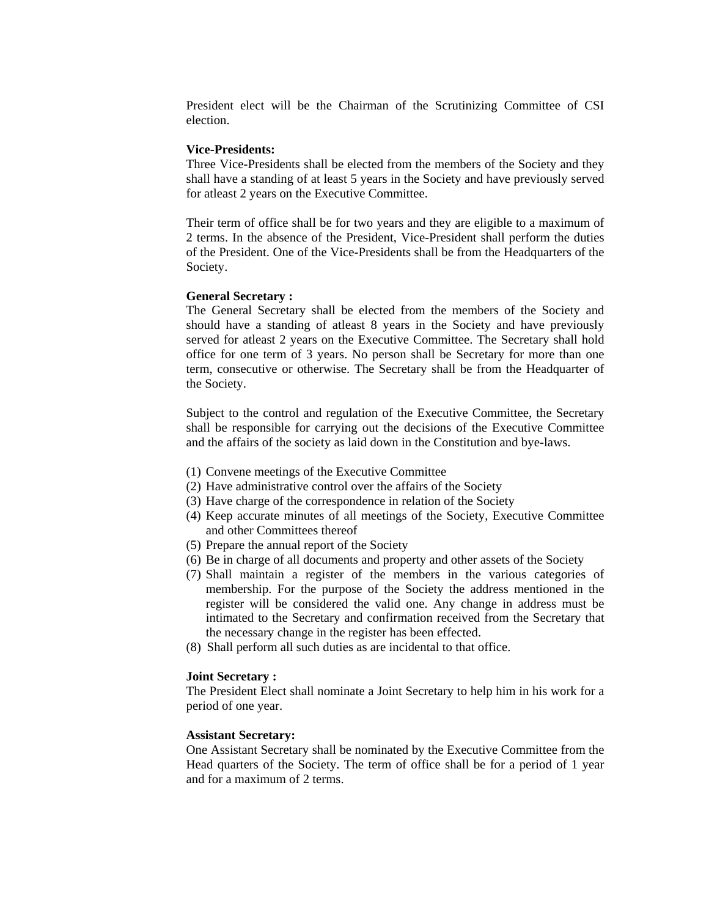President elect will be the Chairman of the Scrutinizing Committee of CSI election.

#### **Vice-Presidents:**

 Three Vice-Presidents shall be elected from the members of the Society and they shall have a standing of at least 5 years in the Society and have previously served for atleast 2 years on the Executive Committee.

 Their term of office shall be for two years and they are eligible to a maximum of 2 terms. In the absence of the President, Vice-President shall perform the duties of the President. One of the Vice-Presidents shall be from the Headquarters of the Society.

#### **General Secretary :**

 The General Secretary shall be elected from the members of the Society and should have a standing of atleast 8 years in the Society and have previously served for atleast 2 years on the Executive Committee. The Secretary shall hold office for one term of 3 years. No person shall be Secretary for more than one term, consecutive or otherwise. The Secretary shall be from the Headquarter of the Society.

 Subject to the control and regulation of the Executive Committee, the Secretary shall be responsible for carrying out the decisions of the Executive Committee and the affairs of the society as laid down in the Constitution and bye-laws.

- (1) Convene meetings of the Executive Committee
- (2) Have administrative control over the affairs of the Society
- (3) Have charge of the correspondence in relation of the Society
- (4) Keep accurate minutes of all meetings of the Society, Executive Committee and other Committees thereof
- (5) Prepare the annual report of the Society
- (6) Be in charge of all documents and property and other assets of the Society
- (7) Shall maintain a register of the members in the various categories of membership. For the purpose of the Society the address mentioned in the register will be considered the valid one. Any change in address must be intimated to the Secretary and confirmation received from the Secretary that the necessary change in the register has been effected.
- (8) Shall perform all such duties as are incidental to that office.

## **Joint Secretary :**

 The President Elect shall nominate a Joint Secretary to help him in his work for a period of one year.

#### **Assistant Secretary:**

 One Assistant Secretary shall be nominated by the Executive Committee from the Head quarters of the Society. The term of office shall be for a period of 1 year and for a maximum of 2 terms.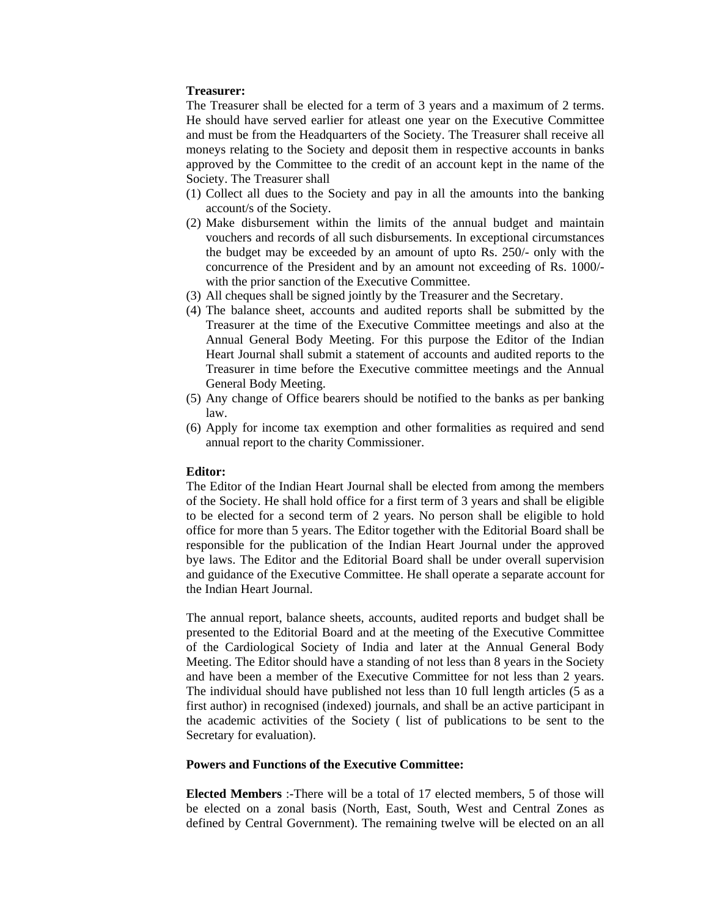#### **Treasurer:**

 The Treasurer shall be elected for a term of 3 years and a maximum of 2 terms. He should have served earlier for atleast one year on the Executive Committee and must be from the Headquarters of the Society. The Treasurer shall receive all moneys relating to the Society and deposit them in respective accounts in banks approved by the Committee to the credit of an account kept in the name of the Society. The Treasurer shall

- (1) Collect all dues to the Society and pay in all the amounts into the banking account/s of the Society.
- (2) Make disbursement within the limits of the annual budget and maintain vouchers and records of all such disbursements. In exceptional circumstances the budget may be exceeded by an amount of upto Rs. 250/- only with the concurrence of the President and by an amount not exceeding of Rs. 1000/ with the prior sanction of the Executive Committee.
- (3) All cheques shall be signed jointly by the Treasurer and the Secretary.
- (4) The balance sheet, accounts and audited reports shall be submitted by the Treasurer at the time of the Executive Committee meetings and also at the Annual General Body Meeting. For this purpose the Editor of the Indian Heart Journal shall submit a statement of accounts and audited reports to the Treasurer in time before the Executive committee meetings and the Annual General Body Meeting.
- (5) Any change of Office bearers should be notified to the banks as per banking law.
- (6) Apply for income tax exemption and other formalities as required and send annual report to the charity Commissioner.

## **Editor:**

 The Editor of the Indian Heart Journal shall be elected from among the members of the Society. He shall hold office for a first term of 3 years and shall be eligible to be elected for a second term of 2 years. No person shall be eligible to hold office for more than 5 years. The Editor together with the Editorial Board shall be responsible for the publication of the Indian Heart Journal under the approved bye laws. The Editor and the Editorial Board shall be under overall supervision and guidance of the Executive Committee. He shall operate a separate account for the Indian Heart Journal.

 The annual report, balance sheets, accounts, audited reports and budget shall be presented to the Editorial Board and at the meeting of the Executive Committee of the Cardiological Society of India and later at the Annual General Body Meeting. The Editor should have a standing of not less than 8 years in the Society and have been a member of the Executive Committee for not less than 2 years. The individual should have published not less than 10 full length articles (5 as a first author) in recognised (indexed) journals, and shall be an active participant in the academic activities of the Society ( list of publications to be sent to the Secretary for evaluation).

#### **Powers and Functions of the Executive Committee:**

**Elected Members** :-There will be a total of 17 elected members, 5 of those will be elected on a zonal basis (North, East, South, West and Central Zones as defined by Central Government). The remaining twelve will be elected on an all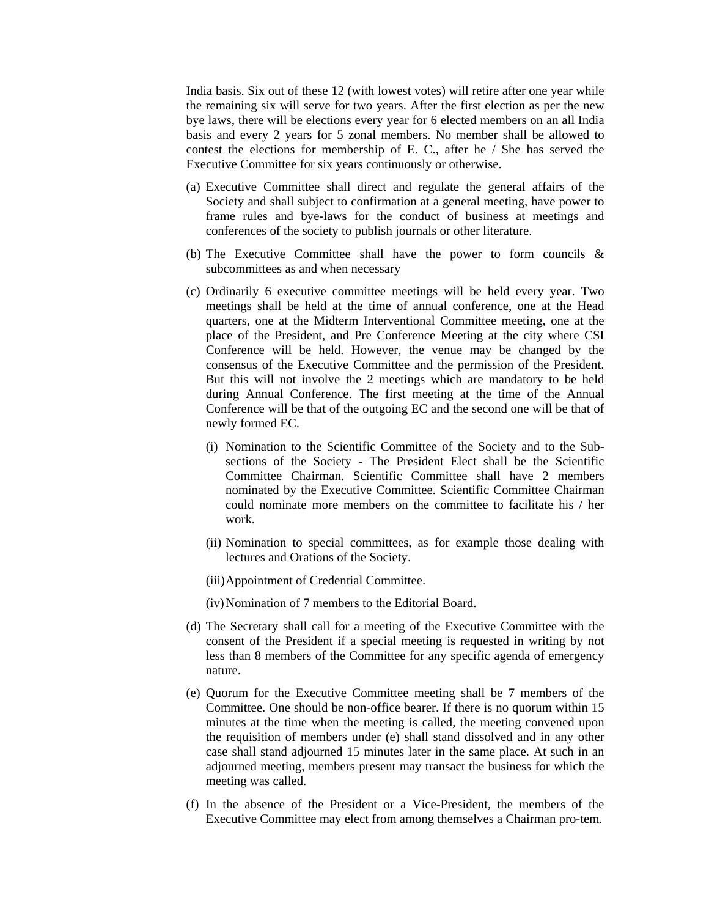India basis. Six out of these 12 (with lowest votes) will retire after one year while the remaining six will serve for two years. After the first election as per the new bye laws, there will be elections every year for 6 elected members on an all India basis and every 2 years for 5 zonal members. No member shall be allowed to contest the elections for membership of E. C., after he / She has served the Executive Committee for six years continuously or otherwise.

- (a) Executive Committee shall direct and regulate the general affairs of the Society and shall subject to confirmation at a general meeting, have power to frame rules and bye-laws for the conduct of business at meetings and conferences of the society to publish journals or other literature.
- (b) The Executive Committee shall have the power to form councils  $\&$ subcommittees as and when necessary
- (c) Ordinarily 6 executive committee meetings will be held every year. Two meetings shall be held at the time of annual conference, one at the Head quarters, one at the Midterm Interventional Committee meeting, one at the place of the President, and Pre Conference Meeting at the city where CSI Conference will be held. However, the venue may be changed by the consensus of the Executive Committee and the permission of the President. But this will not involve the 2 meetings which are mandatory to be held during Annual Conference. The first meeting at the time of the Annual Conference will be that of the outgoing EC and the second one will be that of newly formed EC.
	- (i) Nomination to the Scientific Committee of the Society and to the Subsections of the Society - The President Elect shall be the Scientific Committee Chairman. Scientific Committee shall have 2 members nominated by the Executive Committee. Scientific Committee Chairman could nominate more members on the committee to facilitate his / her work.
	- (ii) Nomination to special committees, as for example those dealing with lectures and Orations of the Society.
	- (iii) Appointment of Credential Committee.

(iv) Nomination of 7 members to the Editorial Board.

- (d) The Secretary shall call for a meeting of the Executive Committee with the consent of the President if a special meeting is requested in writing by not less than 8 members of the Committee for any specific agenda of emergency nature.
- (e) Quorum for the Executive Committee meeting shall be 7 members of the Committee. One should be non-office bearer. If there is no quorum within 15 minutes at the time when the meeting is called, the meeting convened upon the requisition of members under (e) shall stand dissolved and in any other case shall stand adjourned 15 minutes later in the same place. At such in an adjourned meeting, members present may transact the business for which the meeting was called.
- (f) In the absence of the President or a Vice-President, the members of the Executive Committee may elect from among themselves a Chairman pro-tem.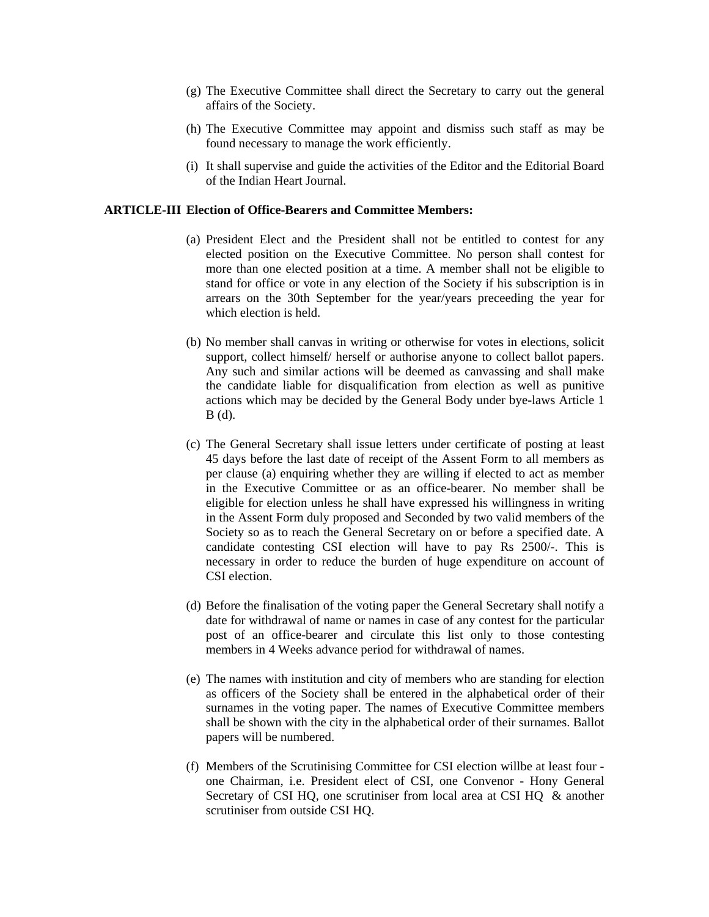- (g) The Executive Committee shall direct the Secretary to carry out the general affairs of the Society.
- (h) The Executive Committee may appoint and dismiss such staff as may be found necessary to manage the work efficiently.
- (i) It shall supervise and guide the activities of the Editor and the Editorial Board of the Indian Heart Journal.

## **ARTICLE-III Election of Office-Bearers and Committee Members:**

- (a) President Elect and the President shall not be entitled to contest for any elected position on the Executive Committee. No person shall contest for more than one elected position at a time. A member shall not be eligible to stand for office or vote in any election of the Society if his subscription is in arrears on the 30th September for the year/years preceeding the year for which election is held.
- (b) No member shall canvas in writing or otherwise for votes in elections, solicit support, collect himself/ herself or authorise anyone to collect ballot papers. Any such and similar actions will be deemed as canvassing and shall make the candidate liable for disqualification from election as well as punitive actions which may be decided by the General Body under bye-laws Article 1 B (d).
- (c) The General Secretary shall issue letters under certificate of posting at least 45 days before the last date of receipt of the Assent Form to all members as per clause (a) enquiring whether they are willing if elected to act as member in the Executive Committee or as an office-bearer. No member shall be eligible for election unless he shall have expressed his willingness in writing in the Assent Form duly proposed and Seconded by two valid members of the Society so as to reach the General Secretary on or before a specified date. A candidate contesting CSI election will have to pay Rs 2500/-. This is necessary in order to reduce the burden of huge expenditure on account of CSI election.
- (d) Before the finalisation of the voting paper the General Secretary shall notify a date for withdrawal of name or names in case of any contest for the particular post of an office-bearer and circulate this list only to those contesting members in 4 Weeks advance period for withdrawal of names.
- (e) The names with institution and city of members who are standing for election as officers of the Society shall be entered in the alphabetical order of their surnames in the voting paper. The names of Executive Committee members shall be shown with the city in the alphabetical order of their surnames. Ballot papers will be numbered.
- (f) Members of the Scrutinising Committee for CSI election willbe at least four one Chairman, i.e. President elect of CSI, one Convenor - Hony General Secretary of CSI HQ, one scrutiniser from local area at CSI HQ & another scrutiniser from outside CSI HQ.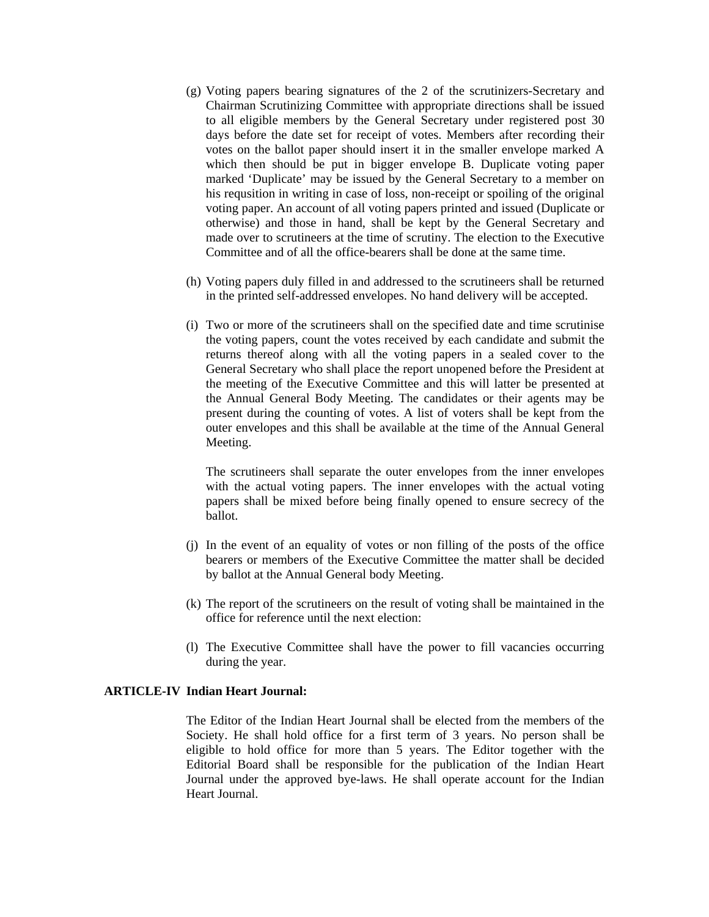- (g) Voting papers bearing signatures of the 2 of the scrutinizers-Secretary and Chairman Scrutinizing Committee with appropriate directions shall be issued to all eligible members by the General Secretary under registered post 30 days before the date set for receipt of votes. Members after recording their votes on the ballot paper should insert it in the smaller envelope marked A which then should be put in bigger envelope B. Duplicate voting paper marked 'Duplicate' may be issued by the General Secretary to a member on his requsition in writing in case of loss, non-receipt or spoiling of the original voting paper. An account of all voting papers printed and issued (Duplicate or otherwise) and those in hand, shall be kept by the General Secretary and made over to scrutineers at the time of scrutiny. The election to the Executive Committee and of all the office-bearers shall be done at the same time.
- (h) Voting papers duly filled in and addressed to the scrutineers shall be returned in the printed self-addressed envelopes. No hand delivery will be accepted.
- (i) Two or more of the scrutineers shall on the specified date and time scrutinise the voting papers, count the votes received by each candidate and submit the returns thereof along with all the voting papers in a sealed cover to the General Secretary who shall place the report unopened before the President at the meeting of the Executive Committee and this will latter be presented at the Annual General Body Meeting. The candidates or their agents may be present during the counting of votes. A list of voters shall be kept from the outer envelopes and this shall be available at the time of the Annual General Meeting.

 The scrutineers shall separate the outer envelopes from the inner envelopes with the actual voting papers. The inner envelopes with the actual voting papers shall be mixed before being finally opened to ensure secrecy of the ballot.

- (j) In the event of an equality of votes or non filling of the posts of the office bearers or members of the Executive Committee the matter shall be decided by ballot at the Annual General body Meeting.
- (k) The report of the scrutineers on the result of voting shall be maintained in the office for reference until the next election:
- (l) The Executive Committee shall have the power to fill vacancies occurring during the year.

#### **ARTICLE-IV Indian Heart Journal:**

 The Editor of the Indian Heart Journal shall be elected from the members of the Society. He shall hold office for a first term of 3 years. No person shall be eligible to hold office for more than 5 years. The Editor together with the Editorial Board shall be responsible for the publication of the Indian Heart Journal under the approved bye-laws. He shall operate account for the Indian Heart Journal.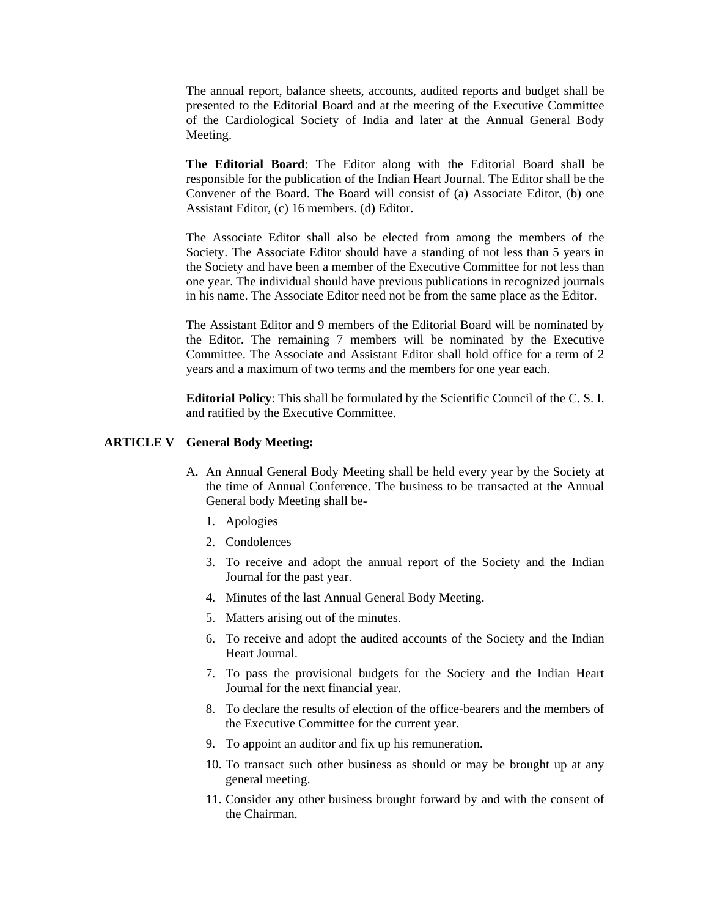The annual report, balance sheets, accounts, audited reports and budget shall be presented to the Editorial Board and at the meeting of the Executive Committee of the Cardiological Society of India and later at the Annual General Body Meeting.

**The Editorial Board**: The Editor along with the Editorial Board shall be responsible for the publication of the Indian Heart Journal. The Editor shall be the Convener of the Board. The Board will consist of (a) Associate Editor, (b) one Assistant Editor, (c) 16 members. (d) Editor.

 The Associate Editor shall also be elected from among the members of the Society. The Associate Editor should have a standing of not less than 5 years in the Society and have been a member of the Executive Committee for not less than one year. The individual should have previous publications in recognized journals in his name. The Associate Editor need not be from the same place as the Editor.

 The Assistant Editor and 9 members of the Editorial Board will be nominated by the Editor. The remaining 7 members will be nominated by the Executive Committee. The Associate and Assistant Editor shall hold office for a term of 2 years and a maximum of two terms and the members for one year each.

**Editorial Policy**: This shall be formulated by the Scientific Council of the C. S. I. and ratified by the Executive Committee.

#### **ARTICLE V General Body Meeting:**

- A. An Annual General Body Meeting shall be held every year by the Society at the time of Annual Conference. The business to be transacted at the Annual General body Meeting shall be-
	- 1. Apologies
	- 2. Condolences
	- 3. To receive and adopt the annual report of the Society and the Indian Journal for the past year.
	- 4. Minutes of the last Annual General Body Meeting.
	- 5. Matters arising out of the minutes.
	- 6. To receive and adopt the audited accounts of the Society and the Indian Heart Journal.
	- 7. To pass the provisional budgets for the Society and the Indian Heart Journal for the next financial year.
	- 8. To declare the results of election of the office-bearers and the members of the Executive Committee for the current year.
	- 9. To appoint an auditor and fix up his remuneration.
	- 10. To transact such other business as should or may be brought up at any general meeting.
	- 11. Consider any other business brought forward by and with the consent of the Chairman.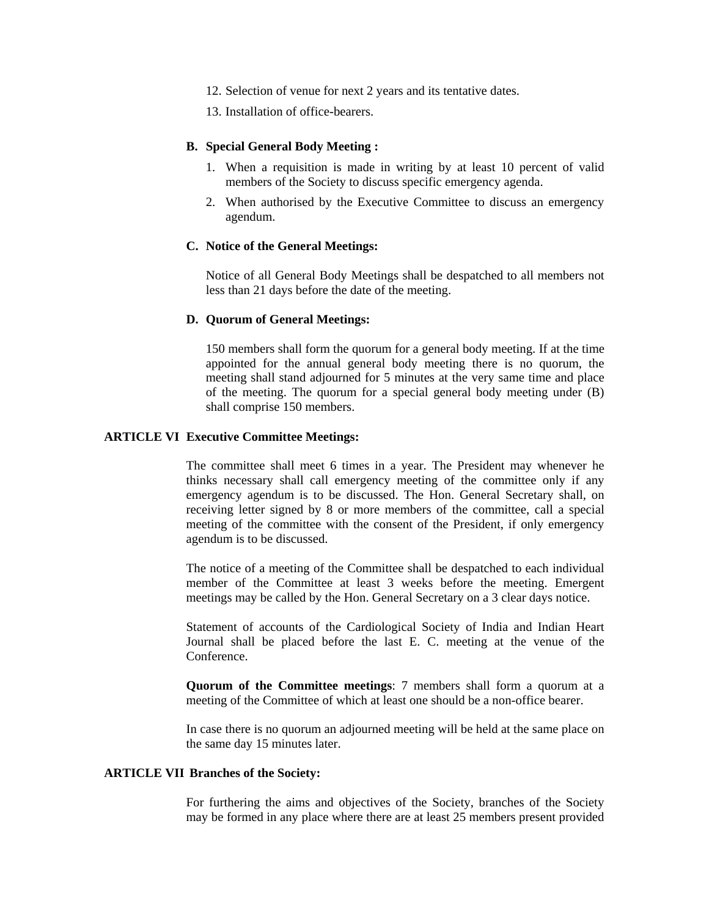- 12. Selection of venue for next 2 years and its tentative dates.
- 13. Installation of office-bearers.

#### **B. Special General Body Meeting :**

- 1. When a requisition is made in writing by at least 10 percent of valid members of the Society to discuss specific emergency agenda.
- 2. When authorised by the Executive Committee to discuss an emergency agendum.

#### **C. Notice of the General Meetings:**

 Notice of all General Body Meetings shall be despatched to all members not less than 21 days before the date of the meeting.

#### **D. Quorum of General Meetings:**

 150 members shall form the quorum for a general body meeting. If at the time appointed for the annual general body meeting there is no quorum, the meeting shall stand adjourned for 5 minutes at the very same time and place of the meeting. The quorum for a special general body meeting under (B) shall comprise 150 members.

#### **ARTICLE VI Executive Committee Meetings:**

 The committee shall meet 6 times in a year. The President may whenever he thinks necessary shall call emergency meeting of the committee only if any emergency agendum is to be discussed. The Hon. General Secretary shall, on receiving letter signed by 8 or more members of the committee, call a special meeting of the committee with the consent of the President, if only emergency agendum is to be discussed.

 The notice of a meeting of the Committee shall be despatched to each individual member of the Committee at least 3 weeks before the meeting. Emergent meetings may be called by the Hon. General Secretary on a 3 clear days notice.

 Statement of accounts of the Cardiological Society of India and Indian Heart Journal shall be placed before the last E. C. meeting at the venue of the Conference.

**Quorum of the Committee meetings**: 7 members shall form a quorum at a meeting of the Committee of which at least one should be a non-office bearer.

 In case there is no quorum an adjourned meeting will be held at the same place on the same day 15 minutes later.

#### **ARTICLE VII Branches of the Society:**

 For furthering the aims and objectives of the Society, branches of the Society may be formed in any place where there are at least 25 members present provided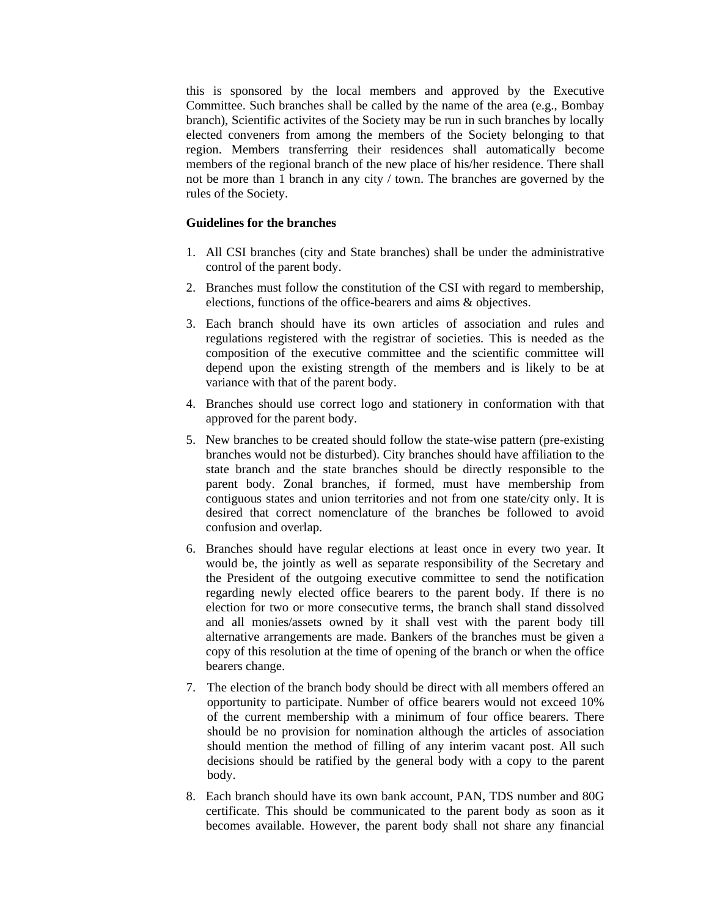this is sponsored by the local members and approved by the Executive Committee. Such branches shall be called by the name of the area (e.g., Bombay branch), Scientific activites of the Society may be run in such branches by locally elected conveners from among the members of the Society belonging to that region. Members transferring their residences shall automatically become members of the regional branch of the new place of his/her residence. There shall not be more than 1 branch in any city / town. The branches are governed by the rules of the Society.

## **Guidelines for the branches**

- 1. All CSI branches (city and State branches) shall be under the administrative control of the parent body.
- 2. Branches must follow the constitution of the CSI with regard to membership, elections, functions of the office-bearers and aims & objectives.
- 3. Each branch should have its own articles of association and rules and regulations registered with the registrar of societies. This is needed as the composition of the executive committee and the scientific committee will depend upon the existing strength of the members and is likely to be at variance with that of the parent body.
- 4. Branches should use correct logo and stationery in conformation with that approved for the parent body.
- 5. New branches to be created should follow the state-wise pattern (pre-existing branches would not be disturbed). City branches should have affiliation to the state branch and the state branches should be directly responsible to the parent body. Zonal branches, if formed, must have membership from contiguous states and union territories and not from one state/city only. It is desired that correct nomenclature of the branches be followed to avoid confusion and overlap.
- 6. Branches should have regular elections at least once in every two year. It would be, the jointly as well as separate responsibility of the Secretary and the President of the outgoing executive committee to send the notification regarding newly elected office bearers to the parent body. If there is no election for two or more consecutive terms, the branch shall stand dissolved and all monies/assets owned by it shall vest with the parent body till alternative arrangements are made. Bankers of the branches must be given a copy of this resolution at the time of opening of the branch or when the office bearers change.
- 7. The election of the branch body should be direct with all members offered an opportunity to participate. Number of office bearers would not exceed 10% of the current membership with a minimum of four office bearers. There should be no provision for nomination although the articles of association should mention the method of filling of any interim vacant post. All such decisions should be ratified by the general body with a copy to the parent body.
- 8. Each branch should have its own bank account, PAN, TDS number and 80G certificate. This should be communicated to the parent body as soon as it becomes available. However, the parent body shall not share any financial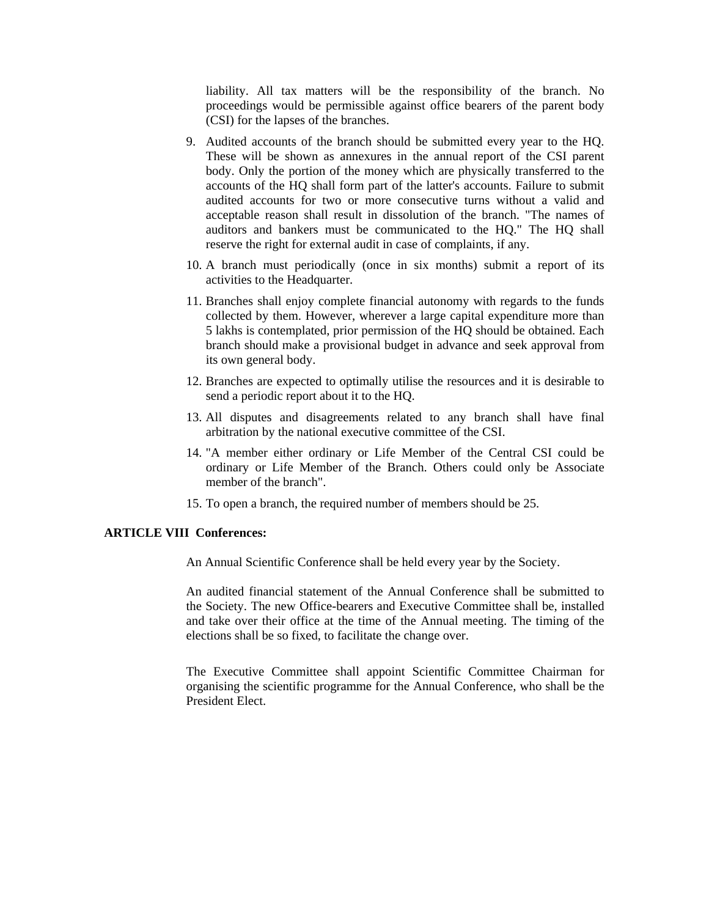liability. All tax matters will be the responsibility of the branch. No proceedings would be permissible against office bearers of the parent body (CSI) for the lapses of the branches.

- 9. Audited accounts of the branch should be submitted every year to the HQ. These will be shown as annexures in the annual report of the CSI parent body. Only the portion of the money which are physically transferred to the accounts of the HQ shall form part of the latter's accounts. Failure to submit audited accounts for two or more consecutive turns without a valid and acceptable reason shall result in dissolution of the branch. "The names of auditors and bankers must be communicated to the HQ." The HQ shall reserve the right for external audit in case of complaints, if any.
- 10. A branch must periodically (once in six months) submit a report of its activities to the Headquarter.
- 11. Branches shall enjoy complete financial autonomy with regards to the funds collected by them. However, wherever a large capital expenditure more than 5 lakhs is contemplated, prior permission of the HQ should be obtained. Each branch should make a provisional budget in advance and seek approval from its own general body.
- 12. Branches are expected to optimally utilise the resources and it is desirable to send a periodic report about it to the HQ.
- 13. All disputes and disagreements related to any branch shall have final arbitration by the national executive committee of the CSI.
- 14. "A member either ordinary or Life Member of the Central CSI could be ordinary or Life Member of the Branch. Others could only be Associate member of the branch".
- 15. To open a branch, the required number of members should be 25.

#### **ARTICLE VIII Conferences:**

An Annual Scientific Conference shall be held every year by the Society.

 An audited financial statement of the Annual Conference shall be submitted to the Society. The new Office-bearers and Executive Committee shall be, installed and take over their office at the time of the Annual meeting. The timing of the elections shall be so fixed, to facilitate the change over.

 The Executive Committee shall appoint Scientific Committee Chairman for organising the scientific programme for the Annual Conference, who shall be the President Elect.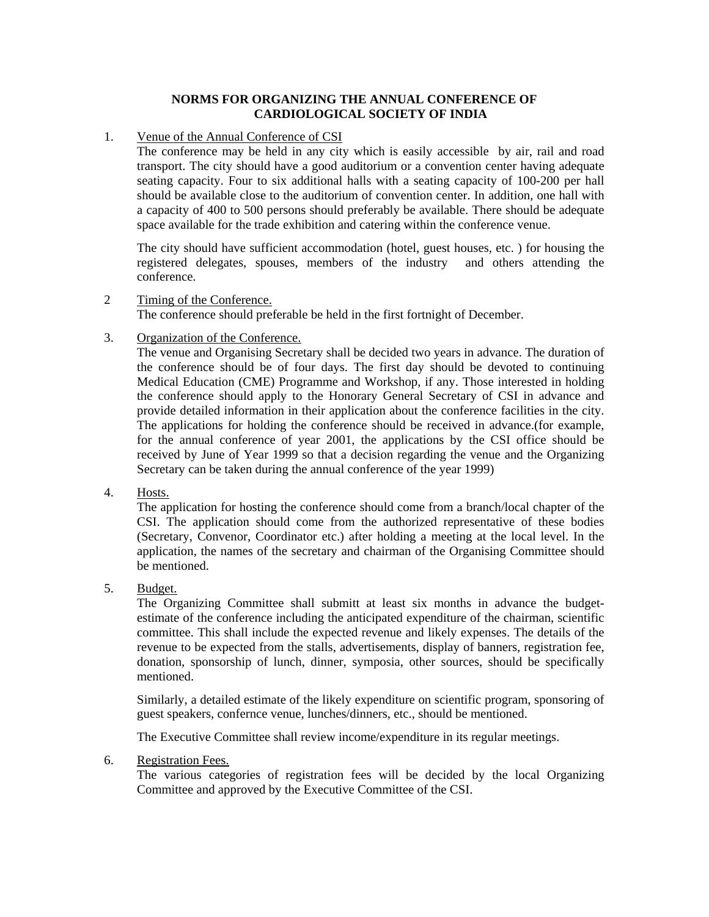## **NORMS FOR ORGANIZING THE ANNUAL CONFERENCE OF CARDIOLOGICAL SOCIETY OF INDIA**

## 1. Venue of the Annual Conference of CSI

 The conference may be held in any city which is easily accessible by air, rail and road transport. The city should have a good auditorium or a convention center having adequate seating capacity. Four to six additional halls with a seating capacity of 100-200 per hall should be available close to the auditorium of convention center. In addition, one hall with a capacity of 400 to 500 persons should preferably be available. There should be adequate space available for the trade exhibition and catering within the conference venue.

 The city should have sufficient accommodation (hotel, guest houses, etc. ) for housing the registered delegates, spouses, members of the industry and others attending the conference.

## 2 Timing of the Conference.

The conference should preferable be held in the first fortnight of December.

## 3. Organization of the Conference.

 The venue and Organising Secretary shall be decided two years in advance. The duration of the conference should be of four days. The first day should be devoted to continuing Medical Education (CME) Programme and Workshop, if any. Those interested in holding the conference should apply to the Honorary General Secretary of CSI in advance and provide detailed information in their application about the conference facilities in the city. The applications for holding the conference should be received in advance.(for example, for the annual conference of year 2001, the applications by the CSI office should be received by June of Year 1999 so that a decision regarding the venue and the Organizing Secretary can be taken during the annual conference of the year 1999)

## 4. Hosts.

 The application for hosting the conference should come from a branch/local chapter of the CSI. The application should come from the authorized representative of these bodies (Secretary, Convenor, Coordinator etc.) after holding a meeting at the local level. In the application, the names of the secretary and chairman of the Organising Committee should be mentioned.

## 5. Budget.

 The Organizing Committee shall submitt at least six months in advance the budgetestimate of the conference including the anticipated expenditure of the chairman, scientific committee. This shall include the expected revenue and likely expenses. The details of the revenue to be expected from the stalls, advertisements, display of banners, registration fee, donation, sponsorship of lunch, dinner, symposia, other sources, should be specifically mentioned.

 Similarly, a detailed estimate of the likely expenditure on scientific program, sponsoring of guest speakers, confernce venue, lunches/dinners, etc., should be mentioned.

The Executive Committee shall review income/expenditure in its regular meetings.

## 6. Registration Fees.

 The various categories of registration fees will be decided by the local Organizing Committee and approved by the Executive Committee of the CSI.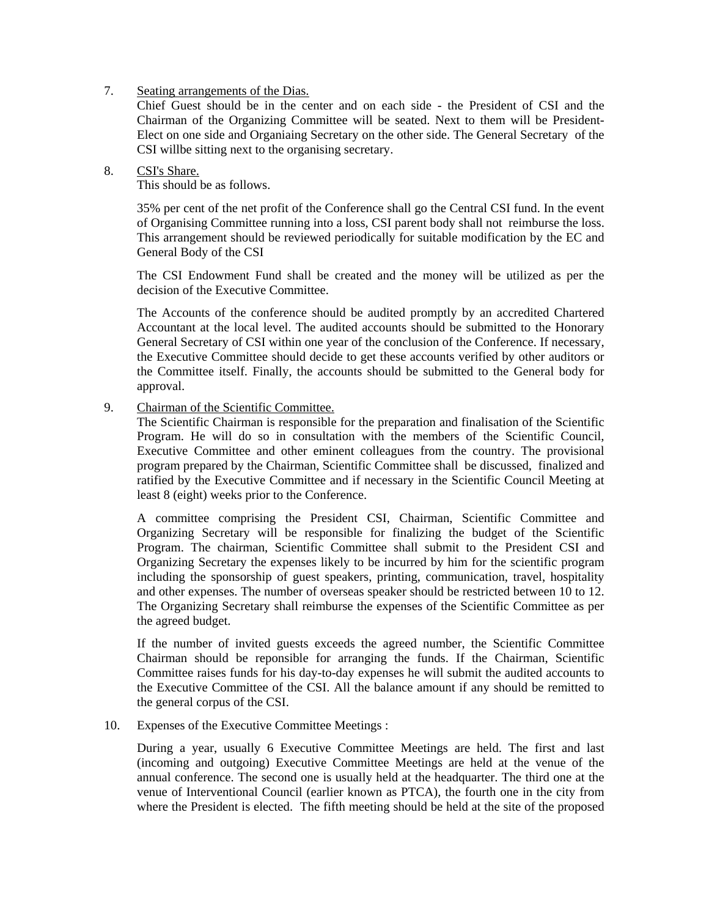## 7. Seating arrangements of the Dias.

 Chief Guest should be in the center and on each side - the President of CSI and the Chairman of the Organizing Committee will be seated. Next to them will be President-Elect on one side and Organiaing Secretary on the other side. The General Secretary of the CSI willbe sitting next to the organising secretary.

## 8. CSI's Share.

This should be as follows.

 35% per cent of the net profit of the Conference shall go the Central CSI fund. In the event of Organising Committee running into a loss, CSI parent body shall not reimburse the loss. This arrangement should be reviewed periodically for suitable modification by the EC and General Body of the CSI

 The CSI Endowment Fund shall be created and the money will be utilized as per the decision of the Executive Committee.

 The Accounts of the conference should be audited promptly by an accredited Chartered Accountant at the local level. The audited accounts should be submitted to the Honorary General Secretary of CSI within one year of the conclusion of the Conference. If necessary, the Executive Committee should decide to get these accounts verified by other auditors or the Committee itself. Finally, the accounts should be submitted to the General body for approval.

## 9. Chairman of the Scientific Committee.

 The Scientific Chairman is responsible for the preparation and finalisation of the Scientific Program. He will do so in consultation with the members of the Scientific Council, Executive Committee and other eminent colleagues from the country. The provisional program prepared by the Chairman, Scientific Committee shall be discussed, finalized and ratified by the Executive Committee and if necessary in the Scientific Council Meeting at least 8 (eight) weeks prior to the Conference.

 A committee comprising the President CSI, Chairman, Scientific Committee and Organizing Secretary will be responsible for finalizing the budget of the Scientific Program. The chairman, Scientific Committee shall submit to the President CSI and Organizing Secretary the expenses likely to be incurred by him for the scientific program including the sponsorship of guest speakers, printing, communication, travel, hospitality and other expenses. The number of overseas speaker should be restricted between 10 to 12. The Organizing Secretary shall reimburse the expenses of the Scientific Committee as per the agreed budget.

 If the number of invited guests exceeds the agreed number, the Scientific Committee Chairman should be reponsible for arranging the funds. If the Chairman, Scientific Committee raises funds for his day-to-day expenses he will submit the audited accounts to the Executive Committee of the CSI. All the balance amount if any should be remitted to the general corpus of the CSI.

## 10. Expenses of the Executive Committee Meetings :

 During a year, usually 6 Executive Committee Meetings are held. The first and last (incoming and outgoing) Executive Committee Meetings are held at the venue of the annual conference. The second one is usually held at the headquarter. The third one at the venue of Interventional Council (earlier known as PTCA), the fourth one in the city from where the President is elected. The fifth meeting should be held at the site of the proposed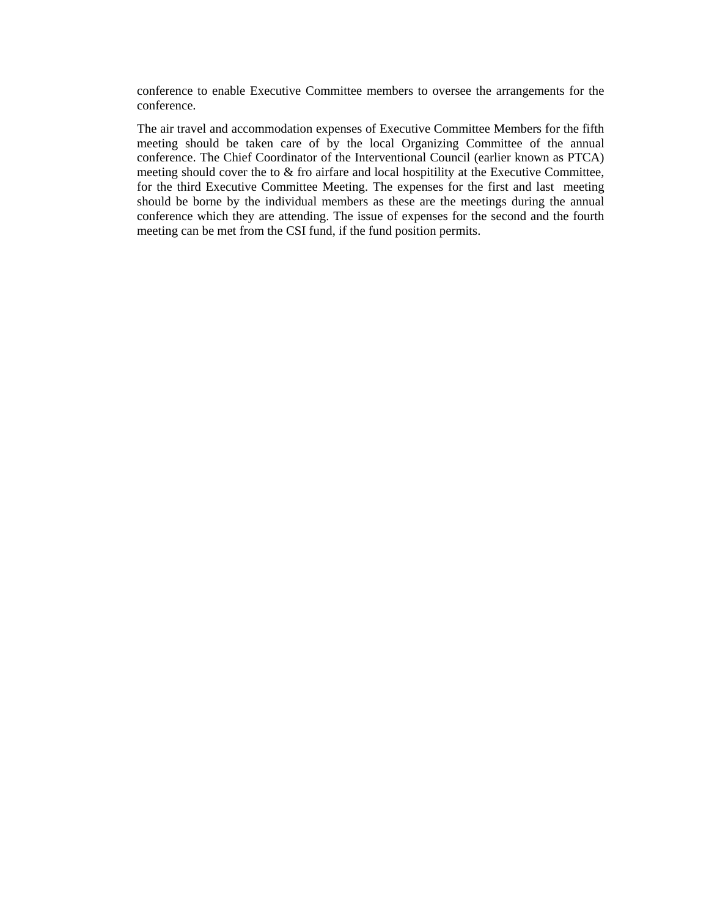conference to enable Executive Committee members to oversee the arrangements for the conference.

 The air travel and accommodation expenses of Executive Committee Members for the fifth meeting should be taken care of by the local Organizing Committee of the annual conference. The Chief Coordinator of the Interventional Council (earlier known as PTCA) meeting should cover the to & fro airfare and local hospitility at the Executive Committee, for the third Executive Committee Meeting. The expenses for the first and last meeting should be borne by the individual members as these are the meetings during the annual conference which they are attending. The issue of expenses for the second and the fourth meeting can be met from the CSI fund, if the fund position permits.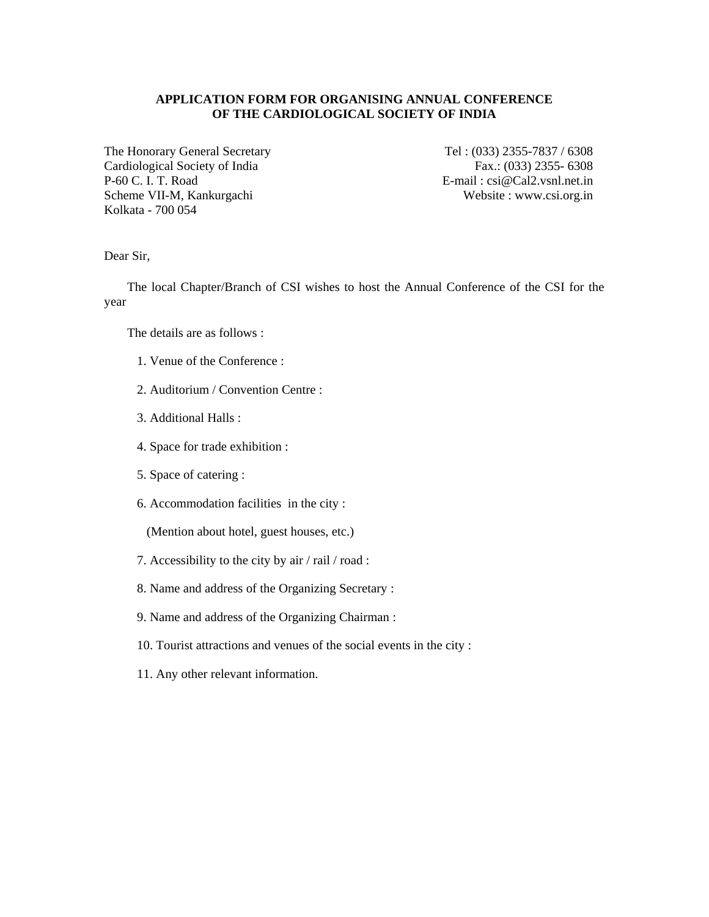## **APPLICATION FORM FOR ORGANISING ANNUAL CONFERENCE OF THE CARDIOLOGICAL SOCIETY OF INDIA**

The Honorary General Secretary Tel: (033) 2355-7837 / 6308 Cardiological Society of India Fax.: (033) 2355- 6308<br>P-60 C. I. T. Road E-mail: csi@Cal2.vsnl.net.in Scheme VII-M, Kankurgachi Website : www.csi.org.in Kolkata - 700 054

 $E-mail : csi@Cal2.vsnl.net.in$ 

Dear Sir,

The local Chapter/Branch of CSI wishes to host the Annual Conference of the CSI for the year

The details are as follows :

- 1. Venue of the Conference :
- 2. Auditorium / Convention Centre :
- 3. Additional Halls :
- 4. Space for trade exhibition :
- 5. Space of catering :
- 6. Accommodation facilities in the city :

(Mention about hotel, guest houses, etc.)

- 7. Accessibility to the city by air / rail / road :
- 8. Name and address of the Organizing Secretary :
- 9. Name and address of the Organizing Chairman :
- 10. Tourist attractions and venues of the social events in the city :
- 11. Any other relevant information.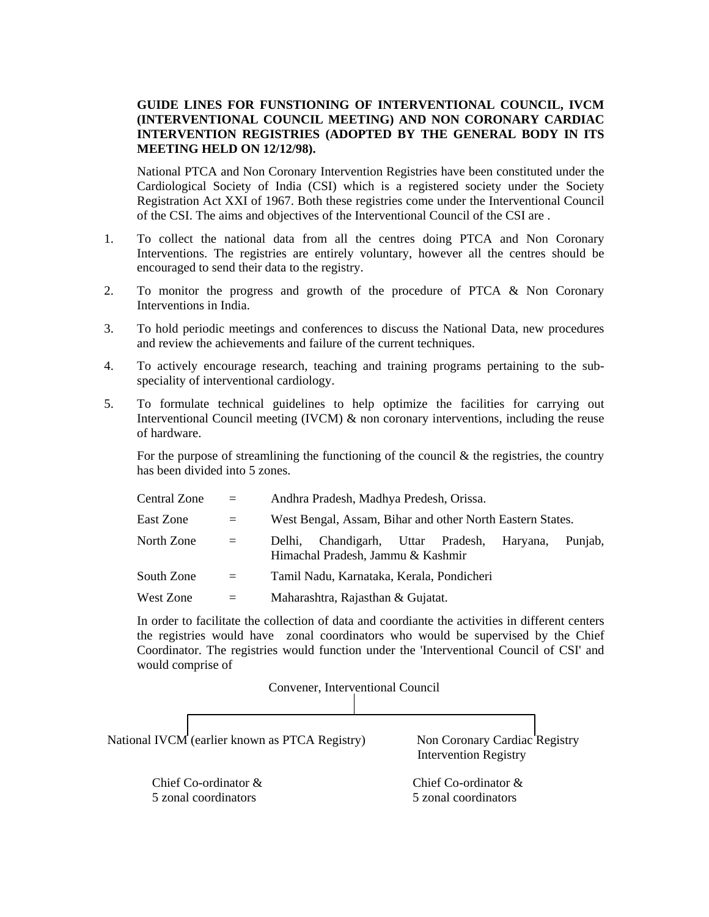## **GUIDE LINES FOR FUNSTIONING OF INTERVENTIONAL COUNCIL, IVCM (INTERVENTIONAL COUNCIL MEETING) AND NON CORONARY CARDIAC INTERVENTION REGISTRIES (ADOPTED BY THE GENERAL BODY IN ITS MEETING HELD ON 12/12/98).**

 National PTCA and Non Coronary Intervention Registries have been constituted under the Cardiological Society of India (CSI) which is a registered society under the Society Registration Act XXI of 1967. Both these registries come under the Interventional Council of the CSI. The aims and objectives of the Interventional Council of the CSI are .

- 1. To collect the national data from all the centres doing PTCA and Non Coronary Interventions. The registries are entirely voluntary, however all the centres should be encouraged to send their data to the registry.
- 2. To monitor the progress and growth of the procedure of PTCA & Non Coronary Interventions in India.
- 3. To hold periodic meetings and conferences to discuss the National Data, new procedures and review the achievements and failure of the current techniques.
- 4. To actively encourage research, teaching and training programs pertaining to the subspeciality of interventional cardiology.
- 5. To formulate technical guidelines to help optimize the facilities for carrying out Interventional Council meeting (IVCM) & non coronary interventions, including the reuse of hardware.

For the purpose of streamlining the functioning of the council  $\&$  the registries, the country has been divided into 5 zones.

| Central Zone | $\equiv$ | Andhra Pradesh, Madhya Predesh, Orissa.                                                          |
|--------------|----------|--------------------------------------------------------------------------------------------------|
| East Zone    | $=$      | West Bengal, Assam, Bihar and other North Eastern States.                                        |
| North Zone   | $=$      | Chandigarh, Uttar Pradesh,<br>Punjab,<br>Haryana,<br>Delhi.<br>Himachal Pradesh, Jammu & Kashmir |
| South Zone   | $=$      | Tamil Nadu, Karnataka, Kerala, Pondicheri                                                        |
| West Zone    | $=$      | Maharashtra, Rajasthan & Gujatat.                                                                |

 In order to facilitate the collection of data and coordiante the activities in different centers the registries would have zonal coordinators who would be supervised by the Chief Coordinator. The registries would function under the 'Interventional Council of CSI' and would comprise of

Convener, Interventional Council

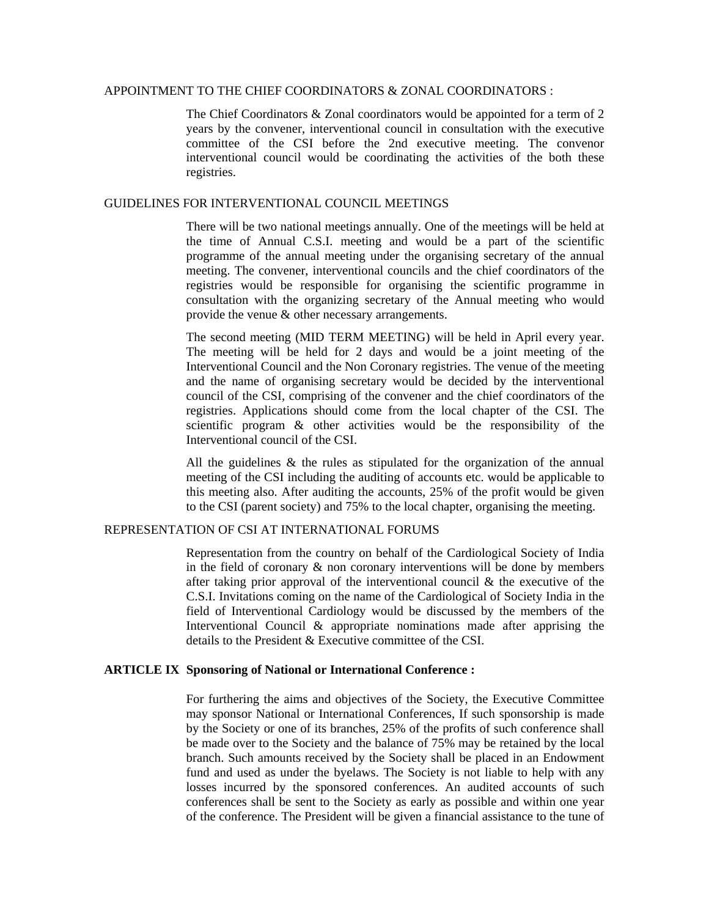#### APPOINTMENT TO THE CHIEF COORDINATORS & ZONAL COORDINATORS :

 The Chief Coordinators & Zonal coordinators would be appointed for a term of 2 years by the convener, interventional council in consultation with the executive committee of the CSI before the 2nd executive meeting. The convenor interventional council would be coordinating the activities of the both these registries.

## GUIDELINES FOR INTERVENTIONAL COUNCIL MEETINGS

 There will be two national meetings annually. One of the meetings will be held at the time of Annual C.S.I. meeting and would be a part of the scientific programme of the annual meeting under the organising secretary of the annual meeting. The convener, interventional councils and the chief coordinators of the registries would be responsible for organising the scientific programme in consultation with the organizing secretary of the Annual meeting who would provide the venue & other necessary arrangements.

 The second meeting (MID TERM MEETING) will be held in April every year. The meeting will be held for 2 days and would be a joint meeting of the Interventional Council and the Non Coronary registries. The venue of the meeting and the name of organising secretary would be decided by the interventional council of the CSI, comprising of the convener and the chief coordinators of the registries. Applications should come from the local chapter of the CSI. The scientific program & other activities would be the responsibility of the Interventional council of the CSI.

 All the guidelines & the rules as stipulated for the organization of the annual meeting of the CSI including the auditing of accounts etc. would be applicable to this meeting also. After auditing the accounts, 25% of the profit would be given to the CSI (parent society) and 75% to the local chapter, organising the meeting.

## REPRESENTATION OF CSI AT INTERNATIONAL FORUMS

 Representation from the country on behalf of the Cardiological Society of India in the field of coronary  $\&$  non coronary interventions will be done by members after taking prior approval of the interventional council  $\&$  the executive of the C.S.I. Invitations coming on the name of the Cardiological of Society India in the field of Interventional Cardiology would be discussed by the members of the Interventional Council & appropriate nominations made after apprising the details to the President & Executive committee of the CSI.

#### **ARTICLE IX Sponsoring of National or International Conference :**

 For furthering the aims and objectives of the Society, the Executive Committee may sponsor National or International Conferences, If such sponsorship is made by the Society or one of its branches, 25% of the profits of such conference shall be made over to the Society and the balance of 75% may be retained by the local branch. Such amounts received by the Society shall be placed in an Endowment fund and used as under the byelaws. The Society is not liable to help with any losses incurred by the sponsored conferences. An audited accounts of such conferences shall be sent to the Society as early as possible and within one year of the conference. The President will be given a financial assistance to the tune of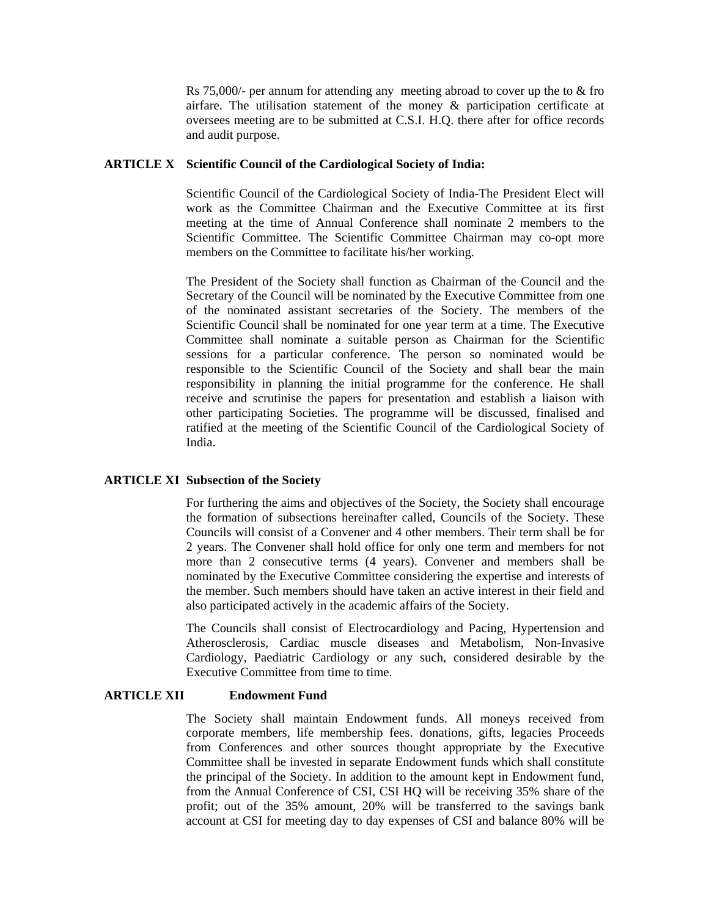Rs  $75,000/$ - per annum for attending any meeting abroad to cover up the to  $&$  fro airfare. The utilisation statement of the money & participation certificate at oversees meeting are to be submitted at C.S.I. H.Q. there after for office records and audit purpose.

#### **ARTICLE X Scientific Council of the Cardiological Society of India:**

 Scientific Council of the Cardiological Society of India-The President Elect will work as the Committee Chairman and the Executive Committee at its first meeting at the time of Annual Conference shall nominate 2 members to the Scientific Committee. The Scientific Committee Chairman may co-opt more members on the Committee to facilitate his/her working.

 The President of the Society shall function as Chairman of the Council and the Secretary of the Council will be nominated by the Executive Committee from one of the nominated assistant secretaries of the Society. The members of the Scientific Council shall be nominated for one year term at a time. The Executive Committee shall nominate a suitable person as Chairman for the Scientific sessions for a particular conference. The person so nominated would be responsible to the Scientific Council of the Society and shall bear the main responsibility in planning the initial programme for the conference. He shall receive and scrutinise the papers for presentation and establish a liaison with other participating Societies. The programme will be discussed, finalised and ratified at the meeting of the Scientific Council of the Cardiological Society of India.

#### **ARTICLE XI Subsection of the Society**

 For furthering the aims and objectives of the Society, the Society shall encourage the formation of subsections hereinafter called, Councils of the Society. These Councils will consist of a Convener and 4 other members. Their term shall be for 2 years. The Convener shall hold office for only one term and members for not more than 2 consecutive terms (4 years). Convener and members shall be nominated by the Executive Committee considering the expertise and interests of the member. Such members should have taken an active interest in their field and also participated actively in the academic affairs of the Society.

 The Councils shall consist of Electrocardiology and Pacing, Hypertension and Atherosclerosis, Cardiac muscle diseases and Metabolism, Non-Invasive Cardiology, Paediatric Cardiology or any such, considered desirable by the Executive Committee from time to time.

## **ARTICLE XII Endowment Fund**

 The Society shall maintain Endowment funds. All moneys received from corporate members, life membership fees. donations, gifts, legacies Proceeds from Conferences and other sources thought appropriate by the Executive Committee shall be invested in separate Endowment funds which shall constitute the principal of the Society. In addition to the amount kept in Endowment fund, from the Annual Conference of CSI, CSI HQ will be receiving 35% share of the profit; out of the 35% amount, 20% will be transferred to the savings bank account at CSI for meeting day to day expenses of CSI and balance 80% will be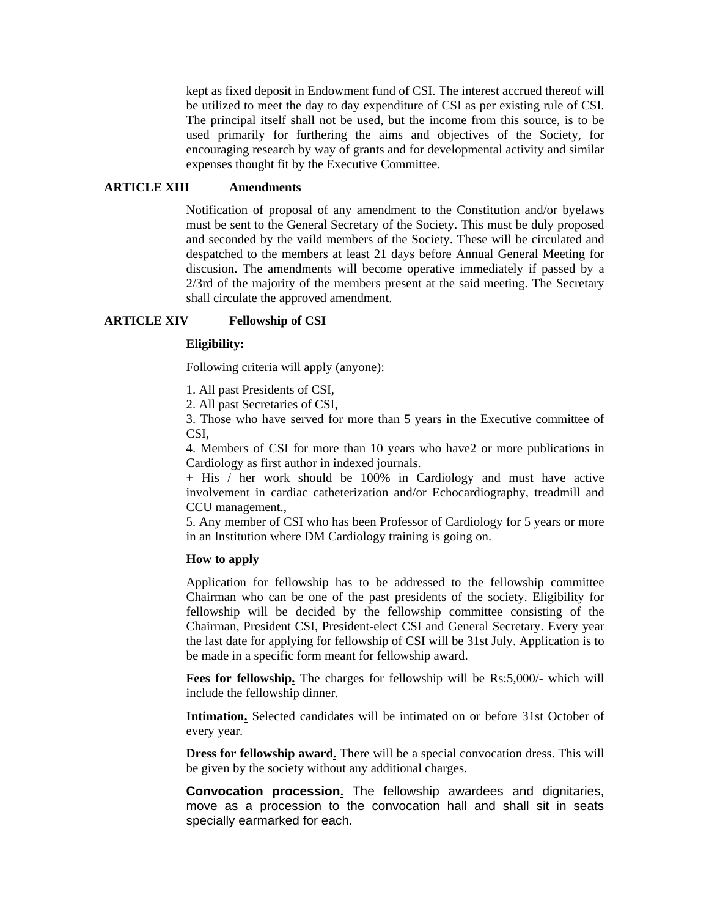kept as fixed deposit in Endowment fund of CSI. The interest accrued thereof will be utilized to meet the day to day expenditure of CSI as per existing rule of CSI. The principal itself shall not be used, but the income from this source, is to be used primarily for furthering the aims and objectives of the Society, for encouraging research by way of grants and for developmental activity and similar expenses thought fit by the Executive Committee.

#### **ARTICLE XIII Amendments**

 Notification of proposal of any amendment to the Constitution and/or byelaws must be sent to the General Secretary of the Society. This must be duly proposed and seconded by the vaild members of the Society. These will be circulated and despatched to the members at least 21 days before Annual General Meeting for discusion. The amendments will become operative immediately if passed by a 2/3rd of the majority of the members present at the said meeting. The Secretary shall circulate the approved amendment.

#### **ARTICLE XIV Fellowship of CSI**

## **Eligibility:**

Following criteria will apply (anyone):

1. All past Presidents of CSI,

2. All past Secretaries of CSI,

 3. Those who have served for more than 5 years in the Executive committee of CSI,

 4. Members of CSI for more than 10 years who have2 or more publications in Cardiology as first author in indexed journals.

 + His / her work should be 100% in Cardiology and must have active involvement in cardiac catheterization and/or Echocardiography, treadmill and CCU management.,

 5. Any member of CSI who has been Professor of Cardiology for 5 years or more in an Institution where DM Cardiology training is going on.

## **How to apply**

 Application for fellowship has to be addressed to the fellowship committee Chairman who can be one of the past presidents of the society. Eligibility for fellowship will be decided by the fellowship committee consisting of the Chairman, President CSI, President-elect CSI and General Secretary. Every year the last date for applying for fellowship of CSI will be 31st July. Application is to be made in a specific form meant for fellowship award.

 **Fees for fellowship.** The charges for fellowship will be Rs:5,000/- which will include the fellowship dinner.

 **Intimation.** Selected candidates will be intimated on or before 31st October of every year.

 **Dress for fellowship award.** There will be a special convocation dress. This will be given by the society without any additional charges.

 **Convocation procession.** The fellowship awardees and dignitaries, move as a procession to the convocation hall and shall sit in seats specially earmarked for each.